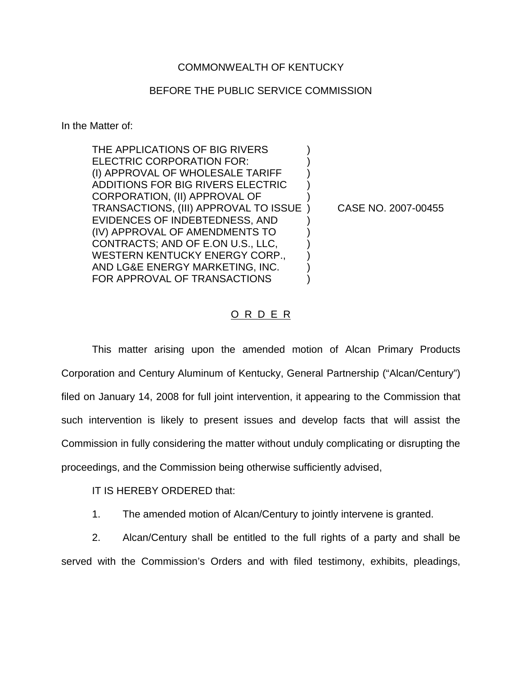## COMMONWEALTH OF KENTUCKY

## BEFORE THE PUBLIC SERVICE COMMISSION

In the Matter of:

THE APPLICATIONS OF BIG RIVERS ELECTRIC CORPORATION FOR: (I) APPROVAL OF WHOLESALE TARIFF ) ADDITIONS FOR BIG RIVERS ELECTRIC ) CORPORATION, (II) APPROVAL OF ) TRANSACTIONS, (III) APPROVAL TO ISSUE ) CASE NO. 2007-00455 EVIDENCES OF INDEBTEDNESS, AND ) (IV) APPROVAL OF AMENDMENTS TO ) CONTRACTS; AND OF E.ON U.S., LLC, ) WESTERN KENTUCKY ENERGY CORP., AND LG&E ENERGY MARKETING, INC. ) FOR APPROVAL OF TRANSACTIONS

## O R D E R

This matter arising upon the amended motion of Alcan Primary Products Corporation and Century Aluminum of Kentucky, General Partnership ("Alcan/Century") filed on January 14, 2008 for full joint intervention, it appearing to the Commission that such intervention is likely to present issues and develop facts that will assist the Commission in fully considering the matter without unduly complicating or disrupting the proceedings, and the Commission being otherwise sufficiently advised,

IT IS HEREBY ORDERED that:

1. The amended motion of Alcan/Century to jointly intervene is granted.

2. Alcan/Century shall be entitled to the full rights of a party and shall be served with the Commission's Orders and with filed testimony, exhibits, pleadings,